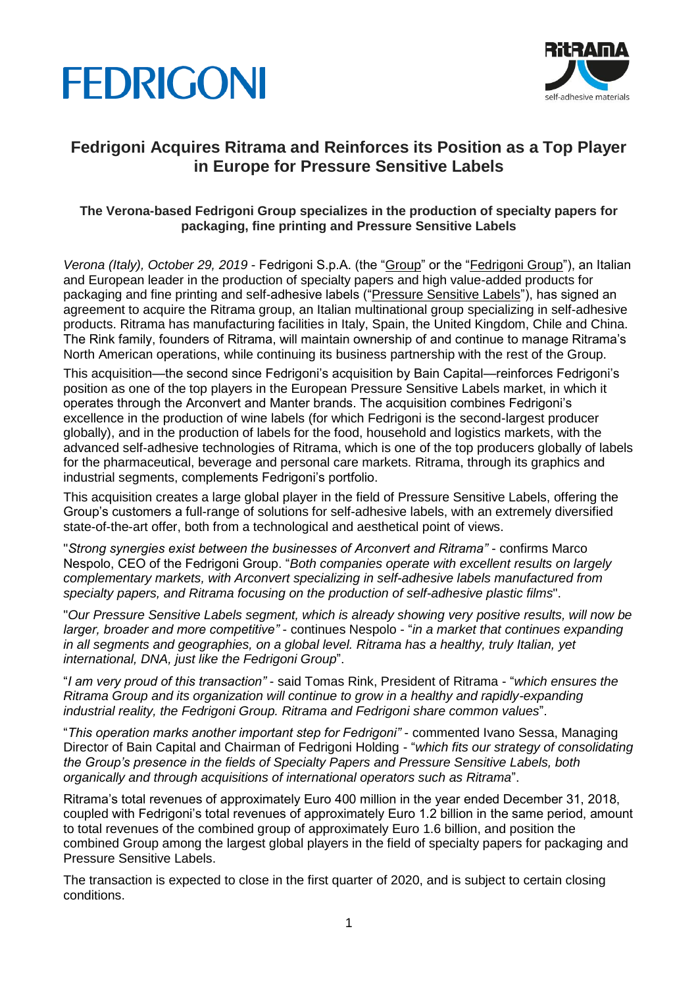



## **Fedrigoni Acquires Ritrama and Reinforces its Position as a Top Player in Europe for Pressure Sensitive Labels**

## **The Verona-based Fedrigoni Group specializes in the production of specialty papers for packaging, fine printing and Pressure Sensitive Labels**

*Verona (Italy), October 29, 2019* - Fedrigoni S.p.A. (the "Group" or the "Fedrigoni Group"), an Italian and European leader in the production of specialty papers and high value-added products for packaging and fine printing and self-adhesive labels ("Pressure Sensitive Labels"), has signed an agreement to acquire the Ritrama group, an Italian multinational group specializing in self-adhesive products. Ritrama has manufacturing facilities in Italy, Spain, the United Kingdom, Chile and China. The Rink family, founders of Ritrama, will maintain ownership of and continue to manage Ritrama's North American operations, while continuing its business partnership with the rest of the Group.

This acquisition—the second since Fedrigoni's acquisition by Bain Capital—reinforces Fedrigoni's position as one of the top players in the European Pressure Sensitive Labels market, in which it operates through the Arconvert and Manter brands. The acquisition combines Fedrigoni's excellence in the production of wine labels (for which Fedrigoni is the second-largest producer globally), and in the production of labels for the food, household and logistics markets, with the advanced self-adhesive technologies of Ritrama, which is one of the top producers globally of labels for the pharmaceutical, beverage and personal care markets. Ritrama, through its graphics and industrial segments, complements Fedrigoni's portfolio.

This acquisition creates a large global player in the field of Pressure Sensitive Labels, offering the Group's customers a full-range of solutions for self-adhesive labels, with an extremely diversified state-of-the-art offer, both from a technological and aesthetical point of views.

"*Strong synergies exist between the businesses of Arconvert and Ritrama"* - confirms Marco Nespolo, CEO of the Fedrigoni Group. "*Both companies operate with excellent results on largely complementary markets, with Arconvert specializing in self-adhesive labels manufactured from specialty papers, and Ritrama focusing on the production of self-adhesive plastic films*".

"*Our Pressure Sensitive Labels segment, which is already showing very positive results, will now be larger, broader and more competitive"* - continues Nespolo - "*in a market that continues expanding in all segments and geographies, on a global level. Ritrama has a healthy, truly Italian, yet international, DNA, just like the Fedrigoni Group*".

"*I am very proud of this transaction"* - said Tomas Rink, President of Ritrama - "*which ensures the Ritrama Group and its organization will continue to grow in a healthy and rapidly-expanding industrial reality, the Fedrigoni Group. Ritrama and Fedrigoni share common values*".

"*This operation marks another important step for Fedrigoni"* - commented Ivano Sessa, Managing Director of Bain Capital and Chairman of Fedrigoni Holding - "*which fits our strategy of consolidating the Group's presence in the fields of Specialty Papers and Pressure Sensitive Labels, both organically and through acquisitions of international operators such as Ritrama*".

Ritrama's total revenues of approximately Euro 400 million in the year ended December 31, 2018, coupled with Fedrigoni's total revenues of approximately Euro 1.2 billion in the same period, amount to total revenues of the combined group of approximately Euro 1.6 billion, and position the combined Group among the largest global players in the field of specialty papers for packaging and Pressure Sensitive Labels.

The transaction is expected to close in the first quarter of 2020, and is subject to certain closing conditions.